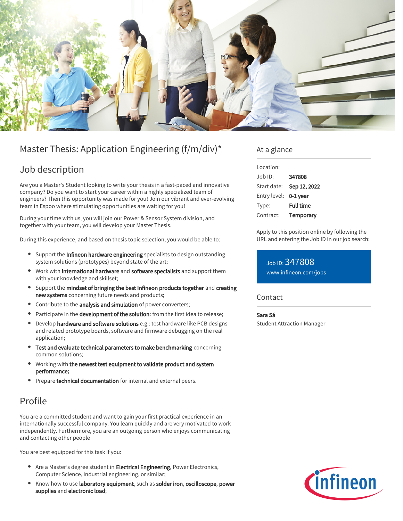

# Master Thesis: Application Engineering (f/m/div)\*

## Job description

Are you a Master's Student looking to write your thesis in a fast-paced and innovative company? Do you want to start your career within a highly specialized team of engineers? Then this opportunity was made for you! Join our vibrant and ever-evolving team in Espoo where stimulating opportunities are waiting for you!

During your time with us, you will join our Power & Sensor System division, and together with your team, you will develop your Master Thesis.

During this experience, and based on thesis topic selection, you would be able to:

- Support the Infineon hardware engineering specialists to design outstanding system solutions (prototypes) beyond state of the art;
- Work with international hardware and software specialists and support them with your knowledge and skillset;
- Support the mindset of bringing the best Infineon products together and creating new systems concerning future needs and products;
- Contribute to the analysis and simulation of power converters;
- Participate in the **development of the solution**: from the first idea to release;
- Develop hardware and software solutions e.g.: test hardware like PCB designs and related prototype boards, software and firmware debugging on the real application;
- Test and evaluate technical parameters to make benchmarking concerning common solutions;
- Working with the newest test equipment to validate product and system performance;
- **Prepare technical documentation** for internal and external peers.

## Profile

You are a committed student and want to gain your first practical experience in an internationally successful company. You learn quickly and are very motivated to work independently. Furthermore, you are an outgoing person who enjoys communicating and contacting other people

You are best equipped for this task if you:

- Are a Master's degree student in **Electrical Engineering**, Power Electronics, Computer Science, Industrial engineering, or similar;
- Know how to use laboratory equipment, such as solder iron, oscilloscope, power supplies and electronic load;

### At a glance

| Location:      |                  |
|----------------|------------------|
| $.$ lob $1D$ : | 347808           |
| Start date:    | Sep 12, 2022     |
| Entry level:   | 0-1 year         |
| Type:          | <b>Full time</b> |
| Contract:      | Temporary        |

Apply to this position online by following the URL and entering the Job ID in our job search:

Job ID: 347808 [www.infineon.com/jobs](https://www.infineon.com/jobs)

### **Contact**

#### Sara Sá

Student Attraction Manager